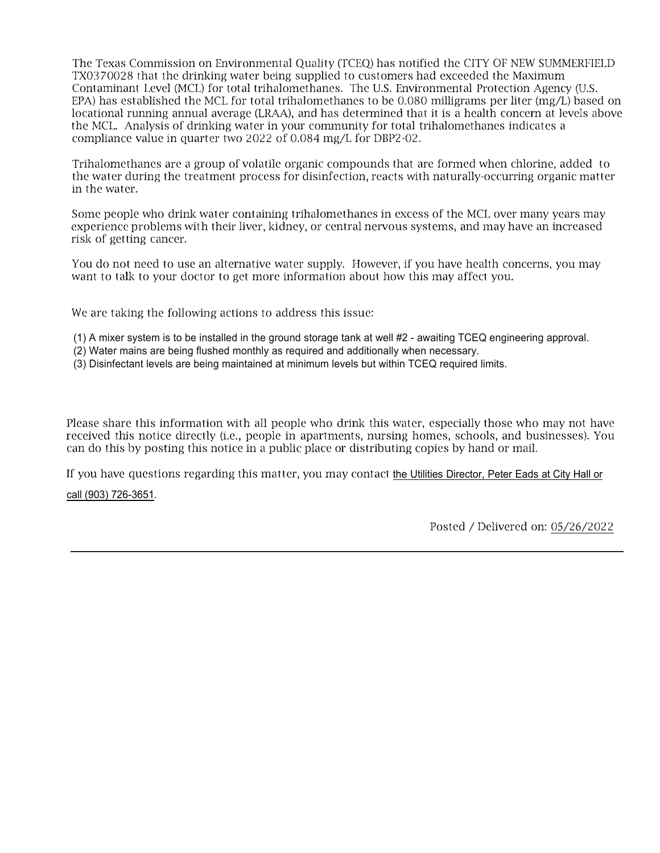The Texas Commission on Environmental Quality (TCEQ) has notified the CITY OF NEW SUMMERFIELD TX0370028 that the drinking water being supplied to customers had exceeded the Maximum Contaminant Level (MCL) for total trihalomethancs. The U.S. Environmental Protection Agency (U.S. EPA) has established the MCL for total trihalomethanes to be 0.080 milligrams per liter (mg/L) based on locational running annual average (LRAA), and has determined that it is a health concern at levels above the MCL. Analysis of drinking water in your community for total trihalomethanes indicates a compliance value in quarter two 2022 of 0.084 mg/L for DBP2-02.

Trihalomethanes are a group of volatile organic compounds that arc formed when chlorine, added to the water during the treatment process for disinfection, reacts with naturally-occurring organic matter in the water.

Some people who drink water containing trihalomethanes in excess of the MCL over many years may experience problems with their liver, kidney, or central nervous systems, and may have an increased risk of getting cancer.

You do not need to use an alternative water supply. However, if you have health concerns, you may want to talk to your doctor to get more information about how this may affect you.

We are taking the following actions to address this issue:

- (1) A mixer system is to be installed in the ground storage tank at well #2 awaiting TCEQ engineering approval.
- (2) Water mains are being flushed monthly as required and additionally when necessary.
- (3) Disinfectant levels are being maintained at minimum levels but within TCEQ required limits.

Please share this information with all people who drink this water, especially those who may not have received this notice directly (i.e., people in apartments, nursing homes, schools, and businesses). You can do this by posting this notice in a public place or distributing copies by hand or mail.

If you have questions regarding this matter, you may contact the Utilities Director, Peter Eads at City Hall or

## call (903) 726-3651.

Posted / Delivered on: 05/26/2022